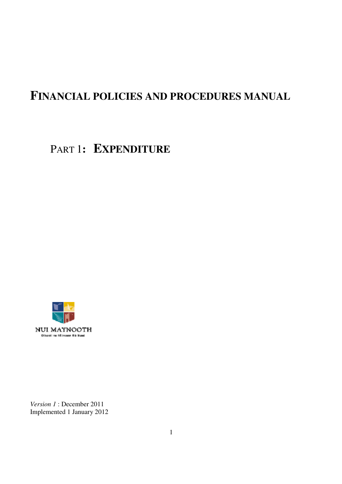# **FINANCIAL POLICIES AND PROCEDURES MANUAL**

# PART 1**: EXPENDITURE**



*Version 1* : December 2011 Implemented 1 January 2012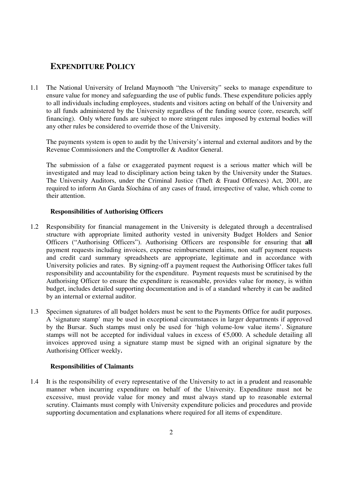# **EXPENDITURE POLICY**

1.1 The National University of Ireland Maynooth "the University" seeks to manage expenditure to ensure value for money and safeguarding the use of public funds. These expenditure policies apply to all individuals including employees, students and visitors acting on behalf of the University and to all funds administered by the University regardless of the funding source (core, research, self financing). Only where funds are subject to more stringent rules imposed by external bodies will any other rules be considered to override those of the University.

The payments system is open to audit by the University's internal and external auditors and by the Revenue Commissioners and the Comptroller & Auditor General.

The submission of a false or exaggerated payment request is a serious matter which will be investigated and may lead to disciplinary action being taken by the University under the Statues. The University Auditors, under the Criminal Justice (Theft & Fraud Offences) Act, 2001, are required to inform An Garda Síochána of any cases of fraud, irrespective of value, which come to their attention.

# **Responsibilities of Authorising Officers**

- 1.2 Responsibility for financial management in the University is delegated through a decentralised structure with appropriate limited authority vested in university Budget Holders and Senior Officers ("Authorising Officers"). Authorising Officers are responsible for ensuring that **all** payment requests including invoices, expense reimbursement claims, non staff payment requests and credit card summary spreadsheets are appropriate, legitimate and in accordance with University policies and rates. By signing-off a payment request the Authorising Officer takes full responsibility and accountability for the expenditure. Payment requests must be scrutinised by the Authorising Officer to ensure the expenditure is reasonable, provides value for money, is within budget, includes detailed supporting documentation and is of a standard whereby it can be audited by an internal or external auditor.
- 1.3 Specimen signatures of all budget holders must be sent to the Payments Office for audit purposes. A 'signature stamp' may be used in exceptional circumstances in larger departments if approved by the Bursar. Such stamps must only be used for 'high volume-low value items'. Signature stamps will not be accepted for individual values in excess of  $\epsilon$ 5,000. A schedule detailing all invoices approved using a signature stamp must be signed with an original signature by the Authorising Officer weekly.

# **Responsibilities of Claimants**

1.4 It is the responsibility of every representative of the University to act in a prudent and reasonable manner when incurring expenditure on behalf of the University. Expenditure must not be excessive, must provide value for money and must always stand up to reasonable external scrutiny. Claimants must comply with University expenditure policies and procedures and provide supporting documentation and explanations where required for all items of expenditure.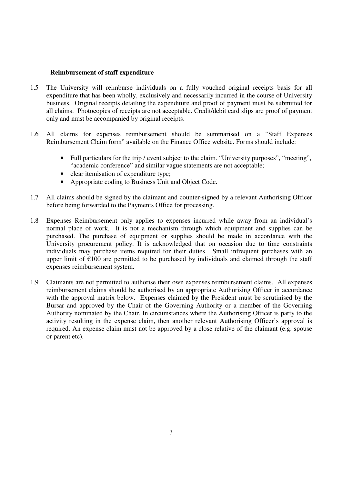# **Reimbursement of staff expenditure**

- 1.5 The University will reimburse individuals on a fully vouched original receipts basis for all expenditure that has been wholly, exclusively and necessarily incurred in the course of University business. Original receipts detailing the expenditure and proof of payment must be submitted for all claims. Photocopies of receipts are not acceptable. Credit/debit card slips are proof of payment only and must be accompanied by original receipts.
- 1.6 All claims for expenses reimbursement should be summarised on a "Staff Expenses Reimbursement Claim form" available on the Finance Office website. Forms should include:
	- Full particulars for the trip / event subject to the claim. "University purposes", "meeting", "academic conference" and similar vague statements are not acceptable;
	- clear itemisation of expenditure type:
	- Appropriate coding to Business Unit and Object Code.
- 1.7 All claims should be signed by the claimant and counter-signed by a relevant Authorising Officer before being forwarded to the Payments Office for processing.
- 1.8 Expenses Reimbursement only applies to expenses incurred while away from an individual's normal place of work. It is not a mechanism through which equipment and supplies can be purchased. The purchase of equipment or supplies should be made in accordance with the University procurement policy. It is acknowledged that on occasion due to time constraints individuals may purchase items required for their duties. Small infrequent purchases with an upper limit of  $\epsilon$ 100 are permitted to be purchased by individuals and claimed through the staff expenses reimbursement system.
- 1.9 Claimants are not permitted to authorise their own expenses reimbursement claims. All expenses reimbursement claims should be authorised by an appropriate Authorising Officer in accordance with the approval matrix below. Expenses claimed by the President must be scrutinised by the Bursar and approved by the Chair of the Governing Authority or a member of the Governing Authority nominated by the Chair. In circumstances where the Authorising Officer is party to the activity resulting in the expense claim, then another relevant Authorising Officer's approval is required. An expense claim must not be approved by a close relative of the claimant (e.g. spouse or parent etc).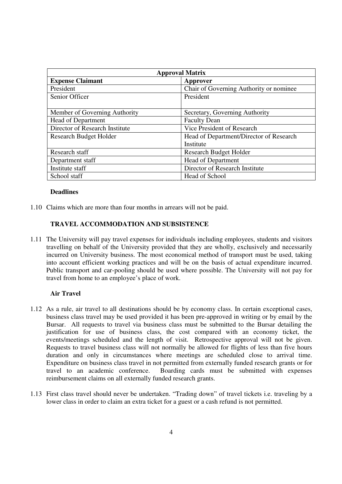| <b>Approval Matrix</b>         |                                         |
|--------------------------------|-----------------------------------------|
| <b>Expense Claimant</b>        | Approver                                |
| President                      | Chair of Governing Authority or nominee |
| Senior Officer                 | President                               |
|                                |                                         |
| Member of Governing Authority  | Secretary, Governing Authority          |
| <b>Head of Department</b>      | <b>Faculty Dean</b>                     |
| Director of Research Institute | Vice President of Research              |
| <b>Research Budget Holder</b>  | Head of Department/Director of Research |
|                                | Institute                               |
| Research staff                 | <b>Research Budget Holder</b>           |
| Department staff               | <b>Head of Department</b>               |
| Institute staff                | Director of Research Institute          |
| School staff                   | Head of School                          |

# **Deadlines**

1.10 Claims which are more than four months in arrears will not be paid.

# **TRAVEL ACCOMMODATION AND SUBSISTENCE**

1.11 The University will pay travel expenses for individuals including employees, students and visitors travelling on behalf of the University provided that they are wholly, exclusively and necessarily incurred on University business. The most economical method of transport must be used, taking into account efficient working practices and will be on the basis of actual expenditure incurred. Public transport and car-pooling should be used where possible. The University will not pay for travel from home to an employee's place of work.

# **Air Travel**

- 1.12 As a rule, air travel to all destinations should be by economy class. In certain exceptional cases, business class travel may be used provided it has been pre-approved in writing or by email by the Bursar. All requests to travel via business class must be submitted to the Bursar detailing the justification for use of business class, the cost compared with an economy ticket, the events/meetings scheduled and the length of visit. Retrospective approval will not be given. Requests to travel business class will not normally be allowed for flights of less than five hours duration and only in circumstances where meetings are scheduled close to arrival time. Expenditure on business class travel in not permitted from externally funded research grants or for travel to an academic conference. Boarding cards must be submitted with expenses Boarding cards must be submitted with expenses reimbursement claims on all externally funded research grants.
- 1.13 First class travel should never be undertaken. "Trading down" of travel tickets i.e. traveling by a lower class in order to claim an extra ticket for a guest or a cash refund is not permitted.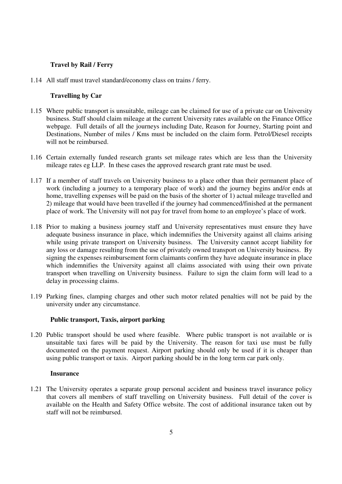# **Travel by Rail / Ferry**

1.14 All staff must travel standard/economy class on trains / ferry.

# **Travelling by Car**

- 1.15 Where public transport is unsuitable, mileage can be claimed for use of a private car on University business. Staff should claim mileage at the current University rates available on the Finance Office webpage. Full details of all the journeys including Date, Reason for Journey, Starting point and Destinations, Number of miles / Kms must be included on the claim form. Petrol/Diesel receipts will not be reimbursed.
- 1.16 Certain externally funded research grants set mileage rates which are less than the University mileage rates eg LLP. In these cases the approved research grant rate must be used.
- 1.17 If a member of staff travels on University business to a place other than their permanent place of work (including a journey to a temporary place of work) and the journey begins and/or ends at home, travelling expenses will be paid on the basis of the shorter of 1) actual mileage travelled and 2) mileage that would have been travelled if the journey had commenced/finished at the permanent place of work. The University will not pay for travel from home to an employee's place of work.
- 1.18 Prior to making a business journey staff and University representatives must ensure they have adequate business insurance in place, which indemnifies the University against all claims arising while using private transport on University business. The University cannot accept liability for any loss or damage resulting from the use of privately owned transport on University business. By signing the expenses reimbursement form claimants confirm they have adequate insurance in place which indemnifies the University against all claims associated with using their own private transport when travelling on University business. Failure to sign the claim form will lead to a delay in processing claims.
- 1.19 Parking fines, clamping charges and other such motor related penalties will not be paid by the university under any circumstance.

# **Public transport, Taxis, airport parking**

1.20 Public transport should be used where feasible. Where public transport is not available or is unsuitable taxi fares will be paid by the University. The reason for taxi use must be fully documented on the payment request. Airport parking should only be used if it is cheaper than using public transport or taxis. Airport parking should be in the long term car park only.

#### **Insurance**

1.21 The University operates a separate group personal accident and business travel insurance policy that covers all members of staff travelling on University business. Full detail of the cover is available on the Health and Safety Office website. The cost of additional insurance taken out by staff will not be reimbursed.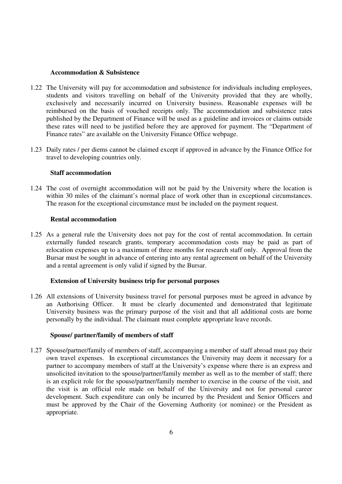# **Accommodation & Subsistence**

- 1.22 The University will pay for accommodation and subsistence for individuals including employees, students and visitors travelling on behalf of the University provided that they are wholly, exclusively and necessarily incurred on University business. Reasonable expenses will be reimbursed on the basis of vouched receipts only. The accommodation and subsistence rates published by the Department of Finance will be used as a guideline and invoices or claims outside these rates will need to be justified before they are approved for payment. The "Department of Finance rates" are available on the University Finance Office webpage.
- 1.23 Daily rates / per diems cannot be claimed except if approved in advance by the Finance Office for travel to developing countries only.

# **Staff accommodation**

1.24 The cost of overnight accommodation will not be paid by the University where the location is within 30 miles of the claimant's normal place of work other than in exceptional circumstances. The reason for the exceptional circumstance must be included on the payment request.

#### **Rental accommodation**

1.25 As a general rule the University does not pay for the cost of rental accommodation. In certain externally funded research grants, temporary accommodation costs may be paid as part of relocation expenses up to a maximum of three months for research staff only. Approval from the Bursar must be sought in advance of entering into any rental agreement on behalf of the University and a rental agreement is only valid if signed by the Bursar.

# **Extension of University business trip for personal purposes**

1.26 All extensions of University business travel for personal purposes must be agreed in advance by an Authorising Officer. It must be clearly documented and demonstrated that legitimate University business was the primary purpose of the visit and that all additional costs are borne personally by the individual. The claimant must complete appropriate leave records.

# **Spouse/ partner/family of members of staff**

1.27 Spouse/partner/family of members of staff, accompanying a member of staff abroad must pay their own travel expenses. In exceptional circumstances the University may deem it necessary for a partner to accompany members of staff at the University's expense where there is an express and unsolicited invitation to the spouse/partner/family member as well as to the member of staff; there is an explicit role for the spouse/partner/family member to exercise in the course of the visit, and the visit is an official role made on behalf of the University and not for personal career development. Such expenditure can only be incurred by the President and Senior Officers and must be approved by the Chair of the Governing Authority (or nominee) or the President as appropriate.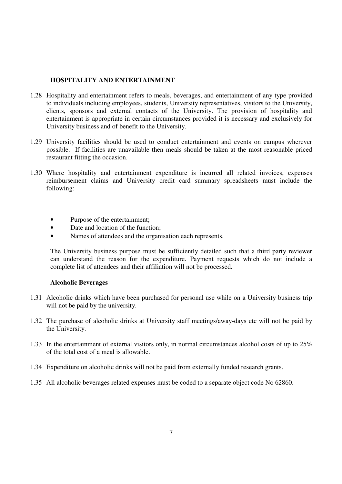# **HOSPITALITY AND ENTERTAINMENT**

- 1.28 Hospitality and entertainment refers to meals, beverages, and entertainment of any type provided to individuals including employees, students, University representatives, visitors to the University, clients, sponsors and external contacts of the University. The provision of hospitality and entertainment is appropriate in certain circumstances provided it is necessary and exclusively for University business and of benefit to the University.
- 1.29 University facilities should be used to conduct entertainment and events on campus wherever possible. If facilities are unavailable then meals should be taken at the most reasonable priced restaurant fitting the occasion.
- 1.30 Where hospitality and entertainment expenditure is incurred all related invoices, expenses reimbursement claims and University credit card summary spreadsheets must include the following:
	- Purpose of the entertainment;
	- Date and location of the function;
	- Names of attendees and the organisation each represents.

The University business purpose must be sufficiently detailed such that a third party reviewer can understand the reason for the expenditure. Payment requests which do not include a complete list of attendees and their affiliation will not be processed.

# **Alcoholic Beverages**

- 1.31 Alcoholic drinks which have been purchased for personal use while on a University business trip will not be paid by the university.
- 1.32 The purchase of alcoholic drinks at University staff meetings/away-days etc will not be paid by the University.
- 1.33 In the entertainment of external visitors only, in normal circumstances alcohol costs of up to 25% of the total cost of a meal is allowable.
- 1.34 Expenditure on alcoholic drinks will not be paid from externally funded research grants.
- 1.35 All alcoholic beverages related expenses must be coded to a separate object code No 62860.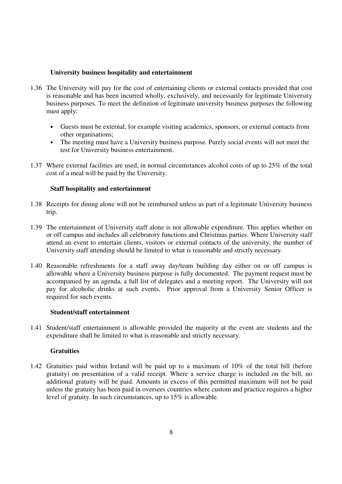# **University business hospitality and entertainment**

- 1.36 The University will pay for the cost of entertaining clients or external contacts provided that cost is reasonable and has been incurred wholly, exclusively, and necessarily for legitimate University business purposes. To meet the definition of legitimate university business purposes the following must apply:
	- Guests must be external, for example visiting academics, sponsors, or external contacts from other organisations;
	- The meeting must have a University business purpose. Purely social events will not meet the test for University business entertainment.
- 1.37 Where external facilities are used, in normal circumstances alcohol costs of up to 25% of the total cost of a meal will be paid by the University.

# **Staff hospitality and entertainment**

- 1.38 Receipts for dining alone will not be reimbursed unless as part of a legitimate University business trip.
- 1.39 The entertainment of University staff alone is not allowable expenditure. This applies whether on or off campus and includes all celebratory functions and Christmas parties. Where University staff attend an event to entertain clients, visitors or external contacts of the university, the number of University staff attending should be limited to what is reasonable and strictly necessary.
- 1.40 Reasonable refreshments for a staff away day/team building day either on or off campus is allowable where a University business purpose is fully documented. The payment request must be accompanied by an agenda, a full list of delegates and a meeting report. The University will not pay for alcoholic drinks at such events. Prior approval from a University Senior Officer is required for such events.

# **Student/staff entertainment**

1.41 Student/staff entertainment is allowable provided the majority at the event are students and the expenditure shall be limited to what is reasonable and strictly necessary.

# **Gratuities**

1.42 Gratuities paid within Ireland will be paid up to a maximum of 10% of the total bill (before gratuity) on presentation of a valid receipt. Where a service charge is included on the bill, no additional gratuity will be paid. Amounts in excess of this permitted maximum will not be paid unless the gratuity has been paid in oversees countries where custom and practice requires a higher level of gratuity. In such circumstances, up to 15% is allowable.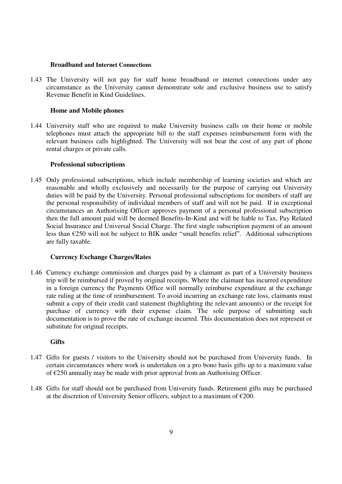#### **Broadband and Internet Connections**

1.43 The University will not pay for staff home broadband or internet connections under any circumstance as the University cannot demonstrate sole and exclusive business use to satisfy Revenue Benefit in Kind Guidelines.

# **Home and Mobile phones**

1.44 University staff who are required to make University business calls on their home or mobile telephones must attach the appropriate bill to the staff expenses reimbursement form with the relevant business calls highlighted. The University will not bear the cost of any part of phone rental charges or private calls.

# **Professional subscriptions**

1.45 Only professional subscriptions, which include membership of learning societies and which are reasonable and wholly exclusively and necessarily for the purpose of carrying out University duties will be paid by the University. Personal professional subscriptions for members of staff are the personal responsibility of individual members of staff and will not be paid. If in exceptional circumstances an Authorising Officer approves payment of a personal professional subscription then the full amount paid will be deemed Benefits-In-Kind and will be liable to Tax, Pay Related Social Insurance and Universal Social Charge. The first single subscription payment of an amount less than €250 will not be subject to BIK under "small benefits relief". Additional subscriptions are fully taxable.

# **Currency Exchange Charges/Rates**

1.46 Currency exchange commission and charges paid by a claimant as part of a University business trip will be reimbursed if proved by original receipts. Where the claimant has incurred expenditure in a foreign currency the Payments Office will normally reimburse expenditure at the exchange rate ruling at the time of reimbursement. To avoid incurring an exchange rate loss, claimants must submit a copy of their credit card statement (highlighting the relevant amounts) or the receipt for purchase of currency with their expense claim. The sole purpose of submitting such documentation is to prove the rate of exchange incurred. This documentation does not represent or substitute for original receipts.

# **Gifts**

- 1.47 Gifts for guests / visitors to the University should not be purchased from University funds. In certain circumstances where work is undertaken on a pro bono basis gifts up to a maximum value of €250 annually may be made with prior approval from an Authorising Officer.
- 1.48 Gifts for staff should not be purchased from University funds. Retirement gifts may be purchased at the discretion of University Senior officers, subject to a maximum of €200.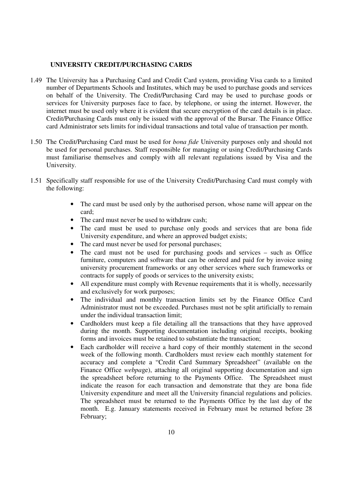# **UNIVERSITY CREDIT/PURCHASING CARDS**

- 1.49 The University has a Purchasing Card and Credit Card system, providing Visa cards to a limited number of Departments Schools and Institutes, which may be used to purchase goods and services on behalf of the University. The Credit/Purchasing Card may be used to purchase goods or services for University purposes face to face, by telephone, or using the internet. However, the internet must be used only where it is evident that secure encryption of the card details is in place. Credit/Purchasing Cards must only be issued with the approval of the Bursar. The Finance Office card Administrator sets limits for individual transactions and total value of transaction per month.
- 1.50 The Credit/Purchasing Card must be used for *bona fide* University purposes only and should not be used for personal purchases. Staff responsible for managing or using Credit/Purchasing Cards must familiarise themselves and comply with all relevant regulations issued by Visa and the University.
- 1.51 Specifically staff responsible for use of the University Credit/Purchasing Card must comply with the following:
	- The card must be used only by the authorised person, whose name will appear on the card;
	- The card must never be used to withdraw cash;
	- The card must be used to purchase only goods and services that are bona fide University expenditure, and where an approved budget exists;
	- The card must never be used for personal purchases;
	- The card must not be used for purchasing goods and services such as Office furniture, computers and software that can be ordered and paid for by invoice using university procurement frameworks or any other services where such frameworks or contracts for supply of goods or services to the university exists;
	- All expenditure must comply with Revenue requirements that it is wholly, necessarily and exclusively for work purposes;
	- The individual and monthly transaction limits set by the Finance Office Card Administrator must not be exceeded. Purchases must not be split artificially to remain under the individual transaction limit;
	- Cardholders must keep a file detailing all the transactions that they have approved during the month. Supporting documentation including original receipts, booking forms and invoices must be retained to substantiate the transaction;
	- Each cardholder will receive a hard copy of their monthly statement in the second week of the following month. Cardholders must review each monthly statement for accuracy and complete a "Credit Card Summary Spreadsheet" (available on the Finance Office *webpa*ge), attaching all original supporting documentation and sign the spreadsheet before returning to the Payments Office. The Spreadsheet must indicate the reason for each transaction and demonstrate that they are bona fide University expenditure and meet all the University financial regulations and policies. The spreadsheet must be returned to the Payments Office by the last day of the month. E.g. January statements received in February must be returned before 28 February;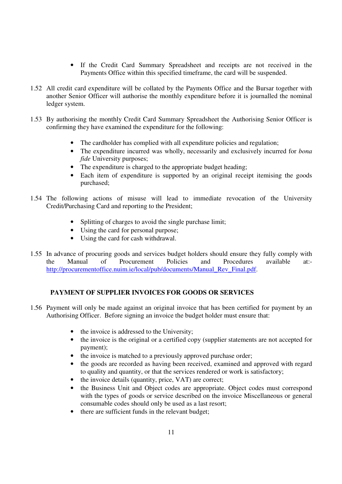- If the Credit Card Summary Spreadsheet and receipts are not received in the Payments Office within this specified timeframe, the card will be suspended.
- 1.52 All credit card expenditure will be collated by the Payments Office and the Bursar together with another Senior Officer will authorise the monthly expenditure before it is journalled the nominal ledger system.
- 1.53 By authorising the monthly Credit Card Summary Spreadsheet the Authorising Senior Officer is confirming they have examined the expenditure for the following:
	- The cardholder has complied with all expenditure policies and regulation;
	- The expenditure incurred was wholly, necessarily and exclusively incurred for *bona fide* University purposes;
	- The expenditure is charged to the appropriate budget heading;
	- Each item of expenditure is supported by an original receipt itemising the goods purchased;
- 1.54 The following actions of misuse will lead to immediate revocation of the University Credit/Purchasing Card and reporting to the President;
	- Splitting of charges to avoid the single purchase limit;
	- Using the card for personal purpose:
	- Using the card for cash withdrawal.
- 1.55 In advance of procuring goods and services budget holders should ensure they fully comply with the Manual of Procurement Policies and Procedures available at: http://procurementoffice.nuim.ie/local/pub/documents/Manual\_Rev\_Final.pdf.

# **PAYMENT OF SUPPLIER INVOICES FOR GOODS OR SERVICES**

- 1.56 Payment will only be made against an original invoice that has been certified for payment by an Authorising Officer. Before signing an invoice the budget holder must ensure that:
	- the invoice is addressed to the University:
	- the invoice is the original or a certified copy (supplier statements are not accepted for payment);
	- the invoice is matched to a previously approved purchase order;
	- the goods are recorded as having been received, examined and approved with regard to quality and quantity, or that the services rendered or work is satisfactory;
	- the invoice details (quantity, price, VAT) are correct;
	- the Business Unit and Object codes are appropriate. Object codes must correspond with the types of goods or service described on the invoice Miscellaneous or general consumable codes should only be used as a last resort;
	- there are sufficient funds in the relevant budget;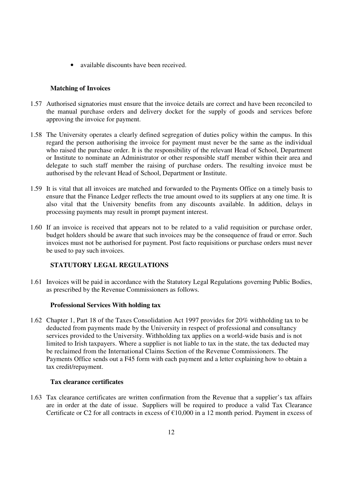• available discounts have been received.

# **Matching of Invoices**

- 1.57 Authorised signatories must ensure that the invoice details are correct and have been reconciled to the manual purchase orders and delivery docket for the supply of goods and services before approving the invoice for payment.
- 1.58 The University operates a clearly defined segregation of duties policy within the campus. In this regard the person authorising the invoice for payment must never be the same as the individual who raised the purchase order. It is the responsibility of the relevant Head of School, Department or Institute to nominate an Administrator or other responsible staff member within their area and delegate to such staff member the raising of purchase orders. The resulting invoice must be authorised by the relevant Head of School, Department or Institute.
- 1.59 It is vital that all invoices are matched and forwarded to the Payments Office on a timely basis to ensure that the Finance Ledger reflects the true amount owed to its suppliers at any one time. It is also vital that the University benefits from any discounts available. In addition, delays in processing payments may result in prompt payment interest.
- 1.60 If an invoice is received that appears not to be related to a valid requisition or purchase order, budget holders should be aware that such invoices may be the consequence of fraud or error. Such invoices must not be authorised for payment. Post facto requisitions or purchase orders must never be used to pay such invoices.

# **STATUTORY LEGAL REGULATIONS**

1.61 Invoices will be paid in accordance with the Statutory Legal Regulations governing Public Bodies, as prescribed by the Revenue Commissioners as follows.

# **Professional Services With holding tax**

1.62 Chapter 1, Part 18 of the Taxes Consolidation Act 1997 provides for 20% withholding tax to be deducted from payments made by the University in respect of professional and consultancy services provided to the University. Withholding tax applies on a world-wide basis and is not limited to Irish taxpayers. Where a supplier is not liable to tax in the state, the tax deducted may be reclaimed from the International Claims Section of the Revenue Commissioners. The Payments Office sends out a F45 form with each payment and a letter explaining how to obtain a tax credit/repayment.

# **Tax clearance certificates**

1.63 Tax clearance certificates are written confirmation from the Revenue that a supplier's tax affairs are in order at the date of issue. Suppliers will be required to produce a valid Tax Clearance Certificate or C2 for all contracts in excess of  $\epsilon$ 10,000 in a 12 month period. Payment in excess of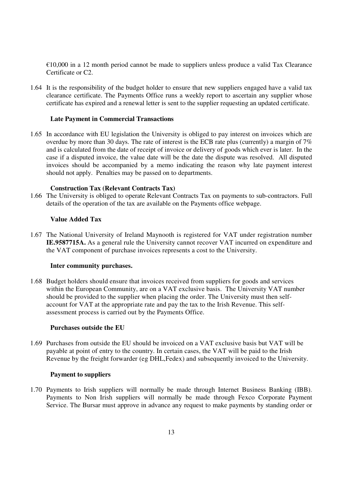$€10,000$  in a 12 month period cannot be made to suppliers unless produce a valid Tax Clearance Certificate or C2.

1.64 It is the responsibility of the budget holder to ensure that new suppliers engaged have a valid tax clearance certificate. The Payments Office runs a weekly report to ascertain any supplier whose certificate has expired and a renewal letter is sent to the supplier requesting an updated certificate.

### **Late Payment in Commercial Transactions**

1.65 In accordance with EU legislation the University is obliged to pay interest on invoices which are overdue by more than 30 days. The rate of interest is the ECB rate plus (currently) a margin of 7% and is calculated from the date of receipt of invoice or delivery of goods which ever is later. In the case if a disputed invoice, the value date will be the date the dispute was resolved. All disputed invoices should be accompanied by a memo indicating the reason why late payment interest should not apply. Penalties may be passed on to departments.

#### **Construction Tax (Relevant Contracts Tax)**

1.66 The University is obliged to operate Relevant Contracts Tax on payments to sub-contractors. Full details of the operation of the tax are available on the Payments office webpage.

#### **Value Added Tax**

1.67 The National University of Ireland Maynooth is registered for VAT under registration number **IE.9587715A.** As a general rule the University cannot recover VAT incurred on expenditure and the VAT component of purchase invoices represents a cost to the University.

#### **Inter community purchases.**

1.68 Budget holders should ensure that invoices received from suppliers for goods and services within the European Community, are on a VAT exclusive basis. The University VAT number should be provided to the supplier when placing the order. The University must then selfaccount for VAT at the appropriate rate and pay the tax to the Irish Revenue. This selfassessment process is carried out by the Payments Office.

#### **Purchases outside the EU**

1.69 Purchases from outside the EU should be invoiced on a VAT exclusive basis but VAT will be payable at point of entry to the country. In certain cases, the VAT will be paid to the Irish Revenue by the freight forwarder (eg DHL,Fedex) and subsequently invoiced to the University.

# **Payment to suppliers**

1.70 Payments to Irish suppliers will normally be made through Internet Business Banking (IBB). Payments to Non Irish suppliers will normally be made through Fexco Corporate Payment Service. The Bursar must approve in advance any request to make payments by standing order or